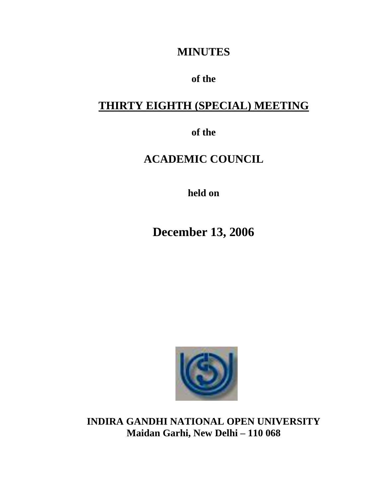## **MINUTES**

### **of the**

## **THIRTY EIGHTH (SPECIAL) MEETING**

**of the**

# **ACADEMIC COUNCIL**

**held on**

**December 13, 2006**



**INDIRA GANDHI NATIONAL OPEN UNIVERSITY Maidan Garhi, New Delhi – 110 068**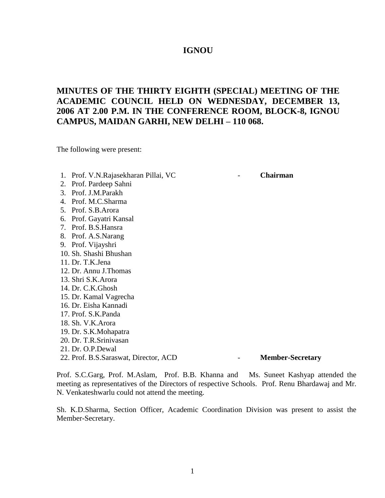#### **IGNOU**

### **MINUTES OF THE THIRTY EIGHTH (SPECIAL) MEETING OF THE ACADEMIC COUNCIL HELD ON WEDNESDAY, DECEMBER 13, 2006 AT 2.00 P.M. IN THE CONFERENCE ROOM, BLOCK-8, IGNOU CAMPUS, MAIDAN GARHI, NEW DELHI – 110 068.**

The following were present:

- 1. Prof. V.N.Rajasekharan Pillai, VC  **Chairman**
- 2. Prof. Pardeep Sahni
- 3. Prof. J.M.Parakh
- 4. Prof. M.C.Sharma
- 5. Prof. S.B.Arora
- 6. Prof. Gayatri Kansal
- 7. Prof. B.S.Hansra
- 8. Prof. A.S.Narang
- 9. Prof. Vijayshri
- 10. Sh. Shashi Bhushan
- 11. Dr. T.K.Jena
- 12. Dr. Annu J.Thomas
- 13. Shri S.K.Arora
- 14. Dr. C.K.Ghosh
- 15. Dr. Kamal Vagrecha
- 16. Dr. Eisha Kannadi
- 17. Prof. S.K.Panda
- 18. Sh. V.K.Arora
- 19. Dr. S.K.Mohapatra
- 20. Dr. T.R.Srinivasan
- 21. Dr. O.P.Dewal

22. Prof. B.S.Saraswat, Director, ACD - **Member-Secretary**

Prof. S.C.Garg, Prof. M.Aslam, Prof. B.B. Khanna and Ms. Suneet Kashyap attended the meeting as representatives of the Directors of respective Schools. Prof. Renu Bhardawaj and Mr. N. Venkateshwarlu could not attend the meeting.

Sh. K.D.Sharma, Section Officer, Academic Coordination Division was present to assist the Member-Secretary.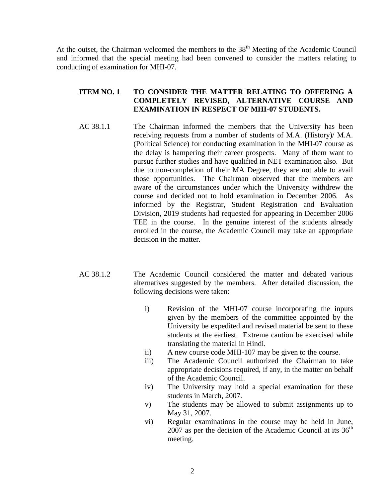At the outset, the Chairman welcomed the members to the  $38<sup>th</sup>$  Meeting of the Academic Council and informed that the special meeting had been convened to consider the matters relating to conducting of examination for MHI-07.

#### **ITEM NO. 1 TO CONSIDER THE MATTER RELATING TO OFFERING A COMPLETELY REVISED, ALTERNATIVE COURSE AND EXAMINATION IN RESPECT OF MHI-07 STUDENTS.**

- AC 38.1.1 The Chairman informed the members that the University has been receiving requests from a number of students of M.A. (History)/ M.A. (Political Science) for conducting examination in the MHI-07 course as the delay is hampering their career prospects. Many of them want to pursue further studies and have qualified in NET examination also. But due to non-completion of their MA Degree, they are not able to avail those opportunities. The Chairman observed that the members are aware of the circumstances under which the University withdrew the course and decided not to hold examination in December 2006. As informed by the Registrar, Student Registration and Evaluation Division, 2019 students had requested for appearing in December 2006 TEE in the course. In the genuine interest of the students already enrolled in the course, the Academic Council may take an appropriate decision in the matter.
- AC 38.1.2 The Academic Council considered the matter and debated various alternatives suggested by the members. After detailed discussion, the following decisions were taken:
	- i) Revision of the MHI-07 course incorporating the inputs given by the members of the committee appointed by the University be expedited and revised material be sent to these students at the earliest. Extreme caution be exercised while translating the material in Hindi.
	- ii) A new course code MHI-107 may be given to the course.
	- iii) The Academic Council authorized the Chairman to take appropriate decisions required, if any, in the matter on behalf of the Academic Council.
	- iv) The University may hold a special examination for these students in March, 2007.
	- v) The students may be allowed to submit assignments up to May 31, 2007.
	- vi) Regular examinations in the course may be held in June, 2007 as per the decision of the Academic Council at its  $36<sup>th</sup>$ meeting.